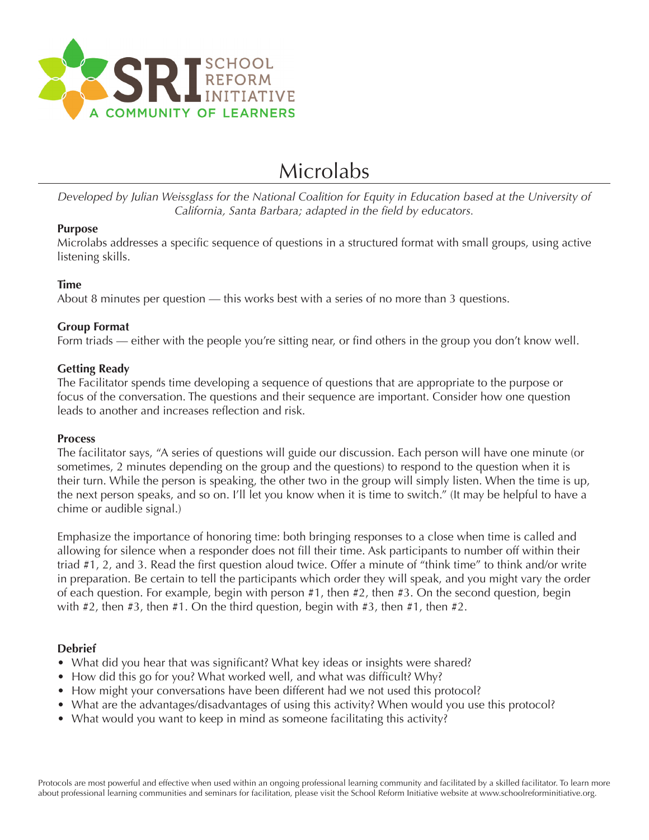

# Microlabs

*Developed by Julian Weissglass for the National Coalition for Equity in Education based at the University of California, Santa Barbara; adapted in the feld by educators.*

#### **Purpose**

Microlabs addresses a specifc sequence of questions in a structured format with small groups, using active listening skills.

# **Time**

About 8 minutes per question — this works best with a series of no more than 3 questions.

# **Group Format**

Form triads — either with the people you're sitting near, or find others in the group you don't know well.

#### **Getting Ready**

The Facilitator spends time developing a sequence of questions that are appropriate to the purpose or focus of the conversation. The questions and their sequence are important. Consider how one question leads to another and increases reflection and risk.

#### **Process**

The facilitator says, "A series of questions will guide our discussion. Each person will have one minute (or sometimes, 2 minutes depending on the group and the questions) to respond to the question when it is their turn. While the person is speaking, the other two in the group will simply listen. When the time is up, the next person speaks, and so on. I'll let you know when it is time to switch." (It may be helpful to have a chime or audible signal.)

Emphasize the importance of honoring time: both bringing responses to a close when time is called and allowing for silence when a responder does not fill their time. Ask participants to number off within their triad #1, 2, and 3. Read the frst question aloud twice. Offer a minute of "think time" to think and/or write in preparation. Be certain to tell the participants which order they will speak, and you might vary the order of each question. For example, begin with person #1, then #2, then #3. On the second question, begin with  $\#2$ , then  $\#3$ , then  $\#1$ . On the third question, begin with  $\#3$ , then  $\#1$ , then  $\#2$ .

# **Debrief**

- What did you hear that was significant? What key ideas or insights were shared?
- How did this go for you? What worked well, and what was difficult? Why?
- How might your conversations have been different had we not used this protocol?
- What are the advantages/disadvantages of using this activity? When would you use this protocol?
- What would you want to keep in mind as someone facilitating this activity?